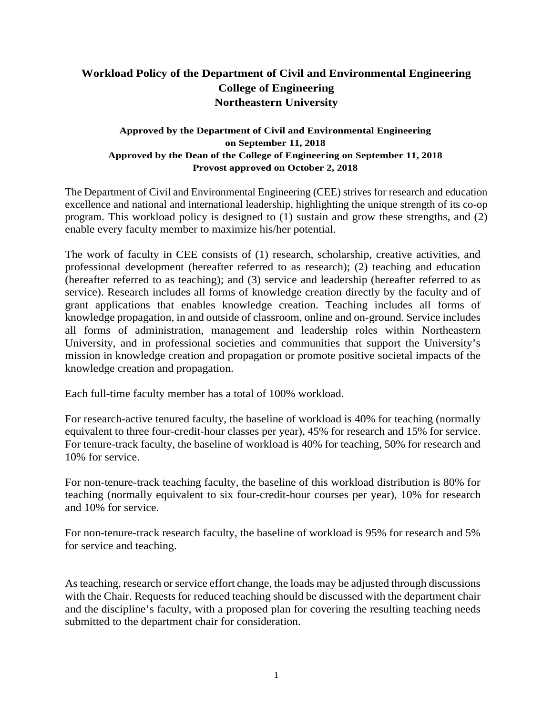## **Workload Policy of the Department of Civil and Environmental Engineering College of Engineering Northeastern University**

## **Approved by the Department of Civil and Environmental Engineering on September 11, 2018 Approved by the Dean of the College of Engineering on September 11, 2018 Provost approved on October 2, 2018**

The Department of Civil and Environmental Engineering (CEE) strives for research and education excellence and national and international leadership, highlighting the unique strength of its co-op program. This workload policy is designed to (1) sustain and grow these strengths, and (2) enable every faculty member to maximize his/her potential.

The work of faculty in CEE consists of (1) research, scholarship, creative activities, and professional development (hereafter referred to as research); (2) teaching and education (hereafter referred to as teaching); and (3) service and leadership (hereafter referred to as service). Research includes all forms of knowledge creation directly by the faculty and of grant applications that enables knowledge creation. Teaching includes all forms of knowledge propagation, in and outside of classroom, online and on-ground. Service includes all forms of administration, management and leadership roles within Northeastern University, and in professional societies and communities that support the University's mission in knowledge creation and propagation or promote positive societal impacts of the knowledge creation and propagation.

Each full-time faculty member has a total of 100% workload.

For research-active tenured faculty, the baseline of workload is 40% for teaching (normally equivalent to three four-credit-hour classes per year), 45% for research and 15% for service. For tenure-track faculty, the baseline of workload is 40% for teaching, 50% for research and 10% for service.

For non-tenure-track teaching faculty, the baseline of this workload distribution is 80% for teaching (normally equivalent to six four-credit-hour courses per year), 10% for research and 10% for service.

For non-tenure-track research faculty, the baseline of workload is 95% for research and 5% for service and teaching.

As teaching, research or service effort change, the loads may be adjusted through discussions with the Chair. Requests for reduced teaching should be discussed with the department chair and the discipline's faculty, with a proposed plan for covering the resulting teaching needs submitted to the department chair for consideration.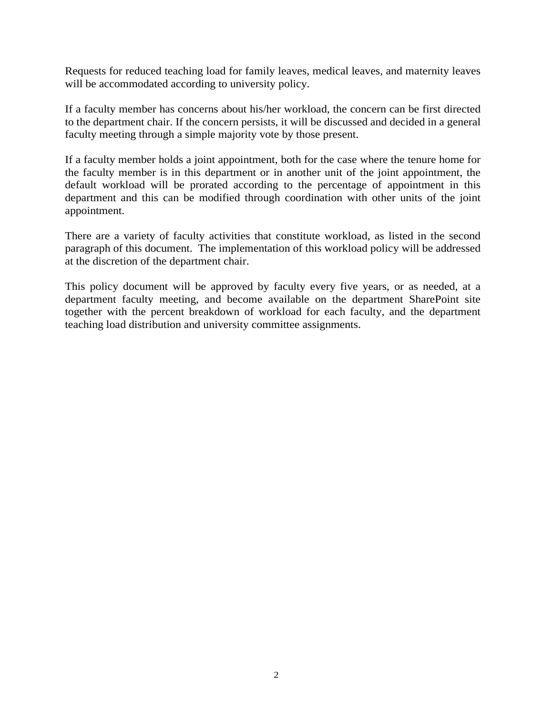Requests for reduced teaching load for family leaves, medical leaves, and maternity leaves will be accommodated according to university policy.

If a faculty member has concerns about his/her workload, the concern can be first directed to the department chair. If the concern persists, it will be discussed and decided in a general faculty meeting through a simple majority vote by those present.

If a faculty member holds a joint appointment, both for the case where the tenure home for the faculty member is in this department or in another unit of the joint appointment, the default workload will be prorated according to the percentage of appointment in this department and this can be modified through coordination with other units of the joint appointment.

There are a variety of faculty activities that constitute workload, as listed in the second paragraph of this document. The implementation of this workload policy will be addressed at the discretion of the department chair.

This policy document will be approved by faculty every five years, or as needed, at a department faculty meeting, and become available on the department SharePoint site together with the percent breakdown of workload for each faculty, and the department teaching load distribution and university committee assignments.